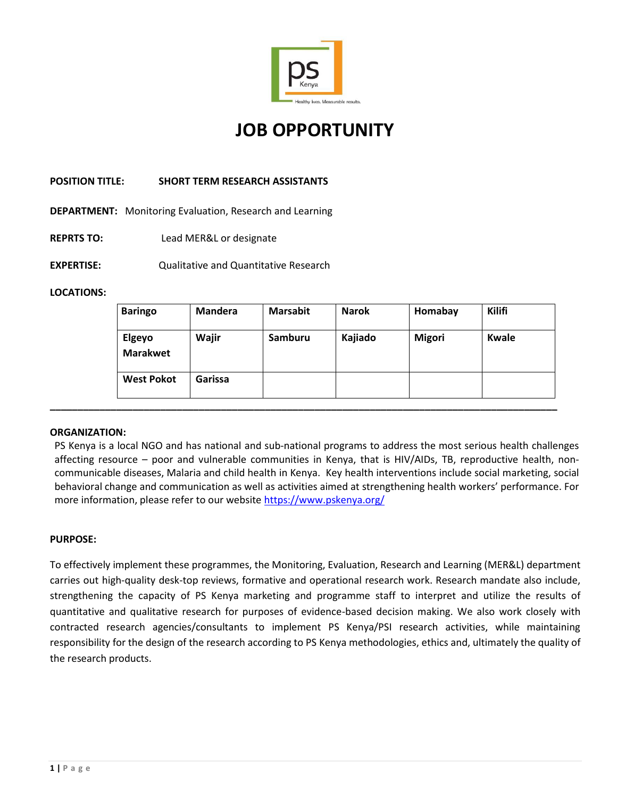

# **JOB OPPORTUNITY**

## **POSITION TITLE: SHORT TERM RESEARCH ASSISTANTS**

**DEPARTMENT:** Monitoring Evaluation, Research and Learning

- **REPRTS TO:** Lead MER&L or designate
- **EXPERTISE:** Qualitative and Quantitative Research

## **LOCATIONS:**

|  | <b>Baringo</b>            | Mandera | <b>Marsabit</b> | <b>Narok</b> | Homabay       | Kilifi |
|--|---------------------------|---------|-----------------|--------------|---------------|--------|
|  | Elgeyo<br><b>Marakwet</b> | Wajir   | Samburu         | Kajiado      | <b>Migori</b> | Kwale  |
|  | <b>West Pokot</b>         | Garissa |                 |              |               |        |
|  |                           |         |                 |              |               |        |

## **ORGANIZATION:**

PS Kenya is a local NGO and has national and sub-national programs to address the most serious health challenges affecting resource – poor and vulnerable communities in Kenya, that is HIV/AIDs, TB, reproductive health, noncommunicable diseases, Malaria and child health in Kenya. Key health interventions include social marketing, social behavioral change and communication as well as activities aimed at strengthening health workers' performance. For more information, please refer to our website<https://www.pskenya.org/>

## **PURPOSE:**

To effectively implement these programmes, the Monitoring, Evaluation, Research and Learning (MER&L) department carries out high-quality desk-top reviews, formative and operational research work. Research mandate also include, strengthening the capacity of PS Kenya marketing and programme staff to interpret and utilize the results of quantitative and qualitative research for purposes of evidence-based decision making. We also work closely with contracted research agencies/consultants to implement PS Kenya/PSI research activities, while maintaining responsibility for the design of the research according to PS Kenya methodologies, ethics and, ultimately the quality of the research products.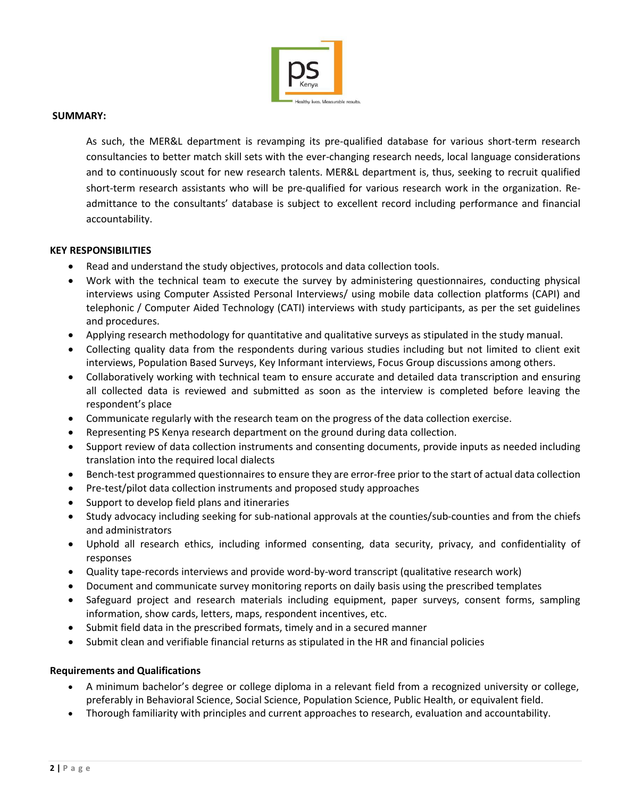

## **SUMMARY:**

As such, the MER&L department is revamping its pre-qualified database for various short-term research consultancies to better match skill sets with the ever-changing research needs, local language considerations and to continuously scout for new research talents. MER&L department is, thus, seeking to recruit qualified short-term research assistants who will be pre-qualified for various research work in the organization. Readmittance to the consultants' database is subject to excellent record including performance and financial accountability.

#### **KEY RESPONSIBILITIES**

- Read and understand the study objectives, protocols and data collection tools.
- Work with the technical team to execute the survey by administering questionnaires, conducting physical interviews using Computer Assisted Personal Interviews/ using mobile data collection platforms (CAPI) and telephonic / Computer Aided Technology (CATI) interviews with study participants, as per the set guidelines and procedures.
- Applying research methodology for quantitative and qualitative surveys as stipulated in the study manual.
- Collecting quality data from the respondents during various studies including but not limited to client exit interviews, Population Based Surveys, Key Informant interviews, Focus Group discussions among others.
- Collaboratively working with technical team to ensure accurate and detailed data transcription and ensuring all collected data is reviewed and submitted as soon as the interview is completed before leaving the respondent's place
- Communicate regularly with the research team on the progress of the data collection exercise.
- Representing PS Kenya research department on the ground during data collection.
- Support review of data collection instruments and consenting documents, provide inputs as needed including translation into the required local dialects
- Bench-test programmed questionnaires to ensure they are error-free prior to the start of actual data collection
- Pre-test/pilot data collection instruments and proposed study approaches
- Support to develop field plans and itineraries
- Study advocacy including seeking for sub-national approvals at the counties/sub-counties and from the chiefs and administrators
- Uphold all research ethics, including informed consenting, data security, privacy, and confidentiality of responses
- Quality tape-records interviews and provide word-by-word transcript (qualitative research work)
- Document and communicate survey monitoring reports on daily basis using the prescribed templates
- Safeguard project and research materials including equipment, paper surveys, consent forms, sampling information, show cards, letters, maps, respondent incentives, etc.
- Submit field data in the prescribed formats, timely and in a secured manner
- Submit clean and verifiable financial returns as stipulated in the HR and financial policies

## **Requirements and Qualifications**

- A minimum bachelor's degree or college diploma in a relevant field from a recognized university or college, preferably in Behavioral Science, Social Science, Population Science, Public Health, or equivalent field.
- Thorough familiarity with principles and current approaches to research, evaluation and accountability.